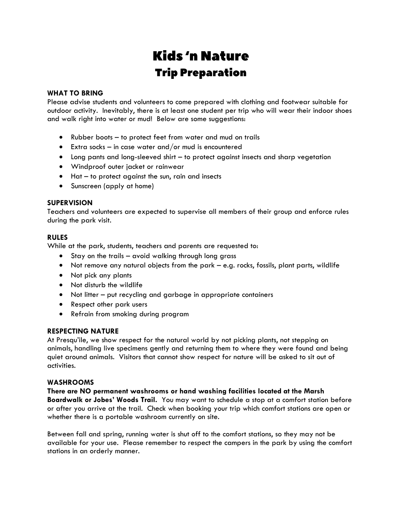# **Kids**'n Nature **Trip Preparation**

#### **WHAT TO BRING**

Please advise students and volunteers to come prepared with clothing and footwear suitable for outdoor activity. Inevitably, there is at least one student per trip who will wear their indoor shoes and walk right into water or mud! Below are some suggestions:

- Rubber boots to protect feet from water and mud on trails
- Extra socks in case water and/or mud is encountered
- Long pants and long-sleeved shirt to protect against insects and sharp vegetation
- Windproof outer jacket or rainwear
- Hat to protect against the sun, rain and insects
- Sunscreen (apply at home)

#### **SUPERVISION**

Teachers and volunteers are expected to supervise all members of their group and enforce rules during the park visit.

#### **RULES**

While at the park, students, teachers and parents are requested to:

- Stay on the trails avoid walking through long grass
- Not remove any natural objects from the park e.g. rocks, fossils, plant parts, wildlife
- Not pick any plants
- Not disturb the wildlife
- Not litter put recycling and garbage in appropriate containers
- Respect other park users
- Refrain from smoking during program

#### **RESPECTING NATURE**

At Presqu'ile, we show respect for the natural world by not picking plants, not stepping on animals, handling live specimens gently and returning them to where they were found and being quiet around animals. Visitors that cannot show respect for nature will be asked to sit out of activities.

#### **WASHROOMS**

**There are NO permanent washrooms or hand washing facilities located at the Marsh** 

**Boardwalk or Jobes' Woods Trail.** You may want to schedule a stop at a comfort station before or after you arrive at the trail. Check when booking your trip which comfort stations are open or whether there is a portable washroom currently on site.

Between fall and spring, running water is shut off to the comfort stations, so they may not be available for your use. Please remember to respect the campers in the park by using the comfort stations in an orderly manner.